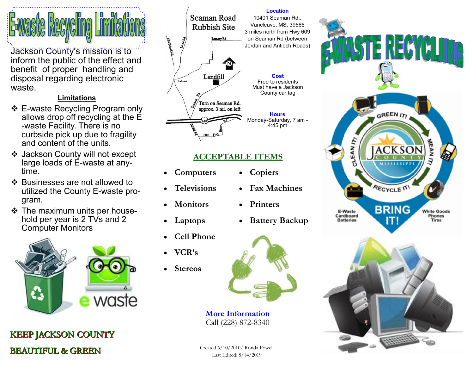Jackson County's mission is to inform the public of the effect and benefit of proper handling and disposal regarding electronic waste.

## **Limitations**

- ❖ E-waste Recycling Program only allows drop off recycling at the E -waste Facility. There is no curbside pick up due to fragility and content of the units.
- ❖ Jackson County will not except large loads of E-waste at anytime.
- ❖ Businesses are not allowed to utilized the County E-waste program.
- ❖ The maximum units per household per year is 2 TVs and 2 Computer Monitors



**KEEP JACKSON COUNTY BEAUTIFUL & GREEN** 



# **ACCEPTABLE ITEMS**

- **Computers**
- **Televisions**
- **Monitors**
- **Laptops**
- **Cell Phone**
- **VCR's**
- **Stereos**



**More Information** Call (228) 872-8340

Created 6/10/2010/ Ronda Powell Last Edited: 8/14/2019